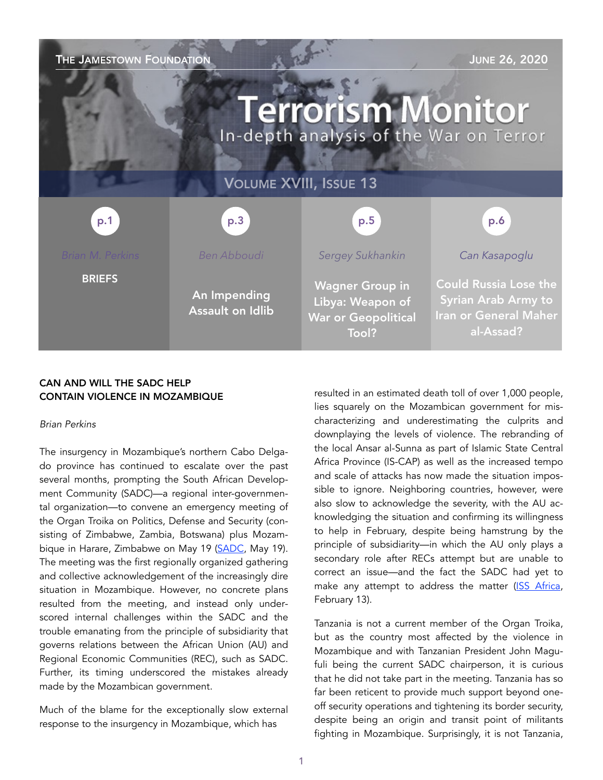| THE JAMESTOWN FOUNDATION                                           |                                         |                                                                                   | <b>JUNE 26, 2020</b>                                                                                    |
|--------------------------------------------------------------------|-----------------------------------------|-----------------------------------------------------------------------------------|---------------------------------------------------------------------------------------------------------|
| <b>Terrorism Monitor</b><br>In-depth analysis of the War on Terror |                                         |                                                                                   |                                                                                                         |
| <b>VOLUME XVIII, ISSUE 13</b>                                      |                                         |                                                                                   |                                                                                                         |
| p.1                                                                | p.3                                     | p.5                                                                               | p.6                                                                                                     |
| <b>Brian M. Perkins</b>                                            | <b>Ben Abboudi</b>                      | <b>Sergey Sukhankin</b>                                                           | Can Kasapoglu                                                                                           |
| <b>BRIEFS</b>                                                      | An Impending<br><b>Assault on Idlib</b> | <b>Wagner Group in</b><br>Libya: Weapon of<br><b>War or Geopolitical</b><br>Tool? | <b>Could Russia Lose the</b><br><b>Syrian Arab Army to</b><br><b>Iran or General Maher</b><br>al-Assad? |

# CAN AND WILL THE SADC HELP CONTAIN VIOLENCE IN MOZAMBIQUE

## *Brian Perkins*

The insurgency in Mozambique's northern Cabo Delgado province has continued to escalate over the past several months, prompting the South African Development Community (SADC)—a regional inter-governmental organization—to convene an emergency meeting of the Organ Troika on Politics, Defense and Security (consisting of Zimbabwe, Zambia, Botswana) plus Mozam-bique in Harare, Zimbabwe on May 19 ([SADC,](https://www.sadc.int/news-events/news/extraordinary-sadc-organ-troika-plus-republic-mozambique-summit-he) May 19). The meeting was the first regionally organized gathering and collective acknowledgement of the increasingly dire situation in Mozambique. However, no concrete plans resulted from the meeting, and instead only underscored internal challenges within the SADC and the trouble emanating from the principle of subsidiarity that governs relations between the African Union (AU) and Regional Economic Communities (REC), such as SADC. Further, its timing underscored the mistakes already made by the Mozambican government.

Much of the blame for the exceptionally slow external response to the insurgency in Mozambique, which has

resulted in an estimated death toll of over 1,000 people, lies squarely on the Mozambican government for mischaracterizing and underestimating the culprits and downplaying the levels of violence. The rebranding of the local Ansar al-Sunna as part of Islamic State Central Africa Province (IS-CAP) as well as the increased tempo and scale of attacks has now made the situation impossible to ignore. Neighboring countries, however, were also slow to acknowledge the severity, with the AU acknowledging the situation and confirming its willingness to help in February, despite being hamstrung by the principle of subsidiarity—in which the AU only plays a secondary role after RECs attempt but are unable to correct an issue—and the fact the SADC had yet to make any attempt to address the matter [\(ISS Africa](https://issafrica.org/iss-today/can-the-afr), February 13).

Tanzania is not a current member of the Organ Troika, but as the country most affected by the violence in Mozambique and with Tanzanian President John Magufuli being the current SADC chairperson, it is curious that he did not take part in the meeting. Tanzania has so far been reticent to provide much support beyond oneoff security operations and tightening its border security, despite being an origin and transit point of militants fighting in Mozambique. Surprisingly, it is not Tanzania,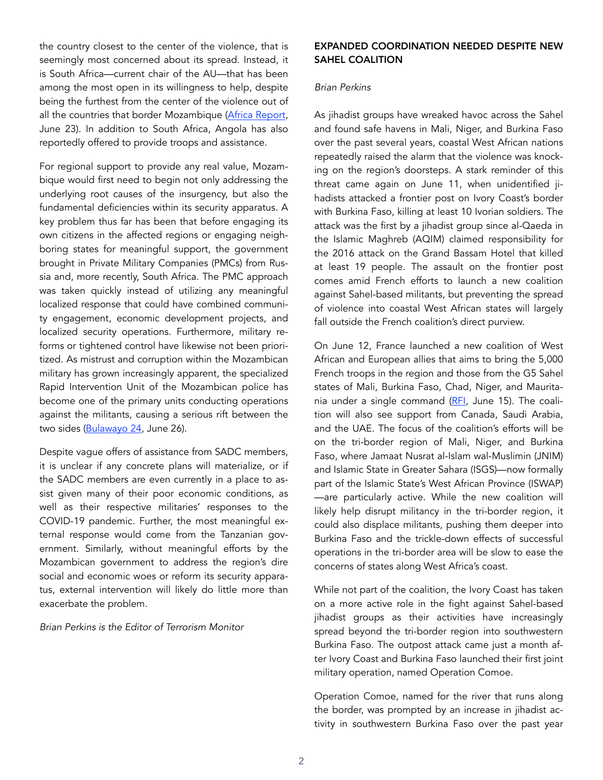the country closest to the center of the violence, that is seemingly most concerned about its spread. Instead, it is South Africa—current chair of the AU—that has been among the most open in its willingness to help, despite being the furthest from the center of the violence out of all the countries that border Mozambique [\(Africa Report,](https://www.theafricareport.com/30898/south-africas-interest-in-extremist-violence-in-northern-mozambique/) June 23). In addition to South Africa, Angola has also reportedly offered to provide troops and assistance.

For regional support to provide any real value, Mozambique would first need to begin not only addressing the underlying root causes of the insurgency, but also the fundamental deficiencies within its security apparatus. A key problem thus far has been that before engaging its own citizens in the affected regions or engaging neighboring states for meaningful support, the government brought in Private Military Companies (PMCs) from Russia and, more recently, South Africa. The PMC approach was taken quickly instead of utilizing any meaningful localized response that could have combined community engagement, economic development projects, and localized security operations. Furthermore, military reforms or tightened control have likewise not been prioritized. As mistrust and corruption within the Mozambican military has grown increasingly apparent, the specialized Rapid Intervention Unit of the Mozambican police has become one of the primary units conducting operations against the militants, causing a serious rift between the two sides [\(Bulawayo 24,](https://bulawayo24.com/index-id-news-sc-africa-byo-188003.html) June 26).

Despite vague offers of assistance from SADC members, it is unclear if any concrete plans will materialize, or if the SADC members are even currently in a place to assist given many of their poor economic conditions, as well as their respective militaries' responses to the COVID-19 pandemic. Further, the most meaningful external response would come from the Tanzanian government. Similarly, without meaningful efforts by the Mozambican government to address the region's dire social and economic woes or reform its security apparatus, external intervention will likely do little more than exacerbate the problem.

*Brian Perkins is the Editor of Terrorism Monitor* 

# EXPANDED COORDINATION NEEDED DESPITE NEW SAHEL COALITION

## *Brian Perkins*

As jihadist groups have wreaked havoc across the Sahel and found safe havens in Mali, Niger, and Burkina Faso over the past several years, coastal West African nations repeatedly raised the alarm that the violence was knocking on the region's doorsteps. A stark reminder of this threat came again on June 11, when unidentified jihadists attacked a frontier post on Ivory Coast's border with Burkina Faso, killing at least 10 Ivorian soldiers. The attack was the first by a jihadist group since al-Qaeda in the Islamic Maghreb (AQIM) claimed responsibility for the 2016 attack on the Grand Bassam Hotel that killed at least 19 people. The assault on the frontier post comes amid French efforts to launch a new coalition against Sahel-based militants, but preventing the spread of violence into coastal West African states will largely fall outside the French coalition's direct purview.

On June 12, France launched a new coalition of West African and European allies that aims to bring the 5,000 French troops in the region and those from the G5 Sahel states of Mali, Burkina Faso, Chad, Niger, and Maurita-nia under a single command ([RFI](http://www.rfi.fr/en/africa/20200615-france-eyes-victory-sahel-jihad-fight-international-coalition-launched), June 15). The coalition will also see support from Canada, Saudi Arabia, and the UAE. The focus of the coalition's efforts will be on the tri-border region of Mali, Niger, and Burkina Faso, where Jamaat Nusrat al-Islam wal-Muslimin (JNIM) and Islamic State in Greater Sahara (ISGS)—now formally part of the Islamic State's West African Province (ISWAP) —are particularly active. While the new coalition will likely help disrupt militancy in the tri-border region, it could also displace militants, pushing them deeper into Burkina Faso and the trickle-down effects of successful operations in the tri-border area will be slow to ease the concerns of states along West Africa's coast.

While not part of the coalition, the Ivory Coast has taken on a more active role in the fight against Sahel-based jihadist groups as their activities have increasingly spread beyond the tri-border region into southwestern Burkina Faso. The outpost attack came just a month after Ivory Coast and Burkina Faso launched their first joint military operation, named Operation Comoe.

Operation Comoe, named for the river that runs along the border, was prompted by an increase in jihadist activity in southwestern Burkina Faso over the past year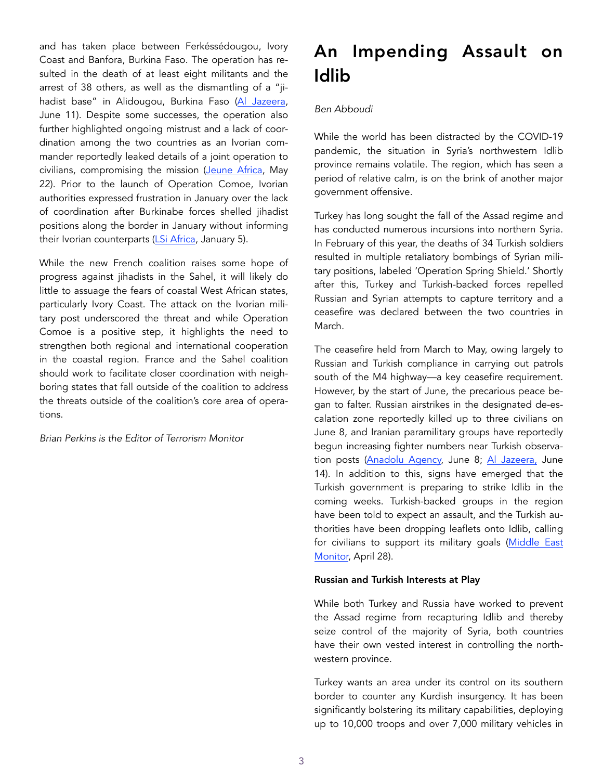and has taken place between Ferkéssédougou, Ivory Coast and Banfora, Burkina Faso. The operation has resulted in the death of at least eight militants and the arrest of 38 others, as well as the dismantling of a "jihadist base" in Alidougou, Burkina Faso [\(Al Jazeera,](https://www.aljazeera.com/news/2020/06/10-soldiers-killed-attack-ivory-coast-border-post-200611) June 11). Despite some successes, the operation also further highlighted ongoing mistrust and a lack of coordination among the two countries as an Ivorian commander reportedly leaked details of a joint operation to civilians, compromising the mission [\(Jeune Africa](https://www.jeuneafrique.com/985885/politique/cote-divoire-echec-dune-operation-anti-terroriste-dans-le-nord/), May 22). Prior to the launch of Operation Comoe, Ivorian authorities expressed frustration in January over the lack of coordination after Burkinabe forces shelled jihadist positions along the border in January without informing their Ivorian counterparts [\(LSi Africa,](https://www.lsi-africa.com/fr/actualite-africaine/burkina-cote-divoire-operatio) January 5).

While the new French coalition raises some hope of progress against jihadists in the Sahel, it will likely do little to assuage the fears of coastal West African states, particularly Ivory Coast. The attack on the Ivorian military post underscored the threat and while Operation Comoe is a positive step, it highlights the need to strengthen both regional and international cooperation in the coastal region. France and the Sahel coalition should work to facilitate closer coordination with neighboring states that fall outside of the coalition to address the threats outside of the coalition's core area of operations.

*Brian Perkins is the Editor of Terrorism Monitor* 

# An Impending Assault on Idlib

# *Ben Abboudi*

While the world has been distracted by the COVID-19 pandemic, the situation in Syria's northwestern Idlib province remains volatile. The region, which has seen a period of relative calm, is on the brink of another major government offensive.

Turkey has long sought the fall of the Assad regime and has conducted numerous incursions into northern Syria. In February of this year, the deaths of 34 Turkish soldiers resulted in multiple retaliatory bombings of Syrian military positions, labeled 'Operation Spring Shield.' Shortly after this, Turkey and Turkish-backed forces repelled Russian and Syrian attempts to capture territory and a ceasefire was declared between the two countries in March.

The ceasefire held from March to May, owing largely to Russian and Turkish compliance in carrying out patrols south of the M4 highway—a key ceasefire requirement. However, by the start of June, the precarious peace began to falter. Russian airstrikes in the designated de-escalation zone reportedly killed up to three civilians on June 8, and Iranian paramilitary groups have reportedly begun increasing fighter numbers near Turkish observation posts ([Anadolu Agency,](https://www.aa.com.tr/en/middle-east/russian-airstrikes-in-idlib-syria-kill-at-least-3-civilians/1869626) June 8; [Al Jazeera,](https://www.aljazeera.com/blogs/middleeast/2020/06/agenda-russia-turkey-talks-ista) June 14). In addition to this, signs have emerged that the Turkish government is preparing to strike Idlib in the coming weeks. Turkish-backed groups in the region have been told to expect an assault, and the Turkish authorities have been dropping leaflets onto Idlib, calling for civilians to support its military goals [\(Middle East](https://www.middleeastmonitor.com/20200428-turkey-drones-drop-leaflets-over-idlib-calling-for-civilian-support/) [Monitor,](https://www.middleeastmonitor.com/20200428-turkey-drones-drop-leaflets-over-idlib-calling-for-civilian-support/) April 28).

# Russian and Turkish Interests at Play

While both Turkey and Russia have worked to prevent the Assad regime from recapturing Idlib and thereby seize control of the majority of Syria, both countries have their own vested interest in controlling the northwestern province.

Turkey wants an area under its control on its southern border to counter any Kurdish insurgency. It has been significantly bolstering its military capabilities, deploying up to 10,000 troops and over 7,000 military vehicles in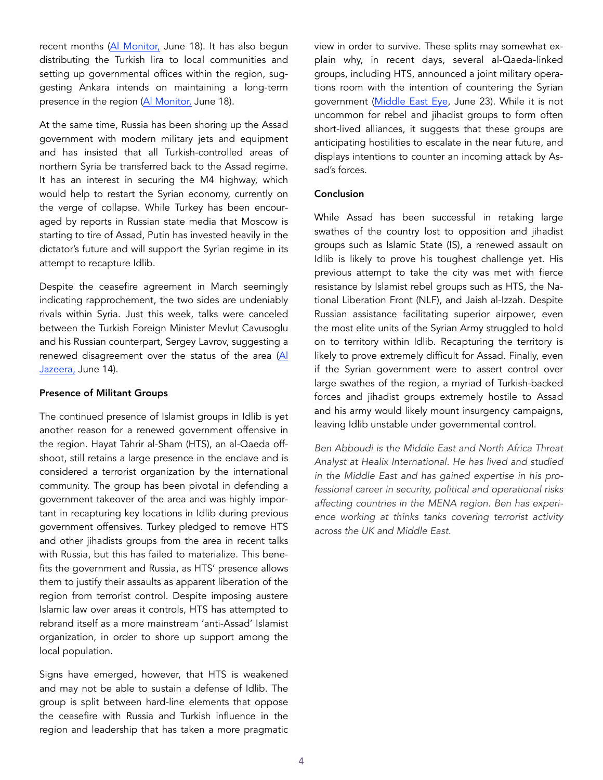recent months ([Al Monitor,](https://www.al-monitor.com/pulse/originals/2020/06/turkey-syria) June 18). It has also begun distributing the Turkish lira to local communities and setting up governmental offices within the region, suggesting Ankara intends on maintaining a long-term presence in the region [\(Al Monitor,](https://www.al-monitor.com/pulse/originals/2020/06/turkey-syria-russia-idlib-m4-ankara-entrenching-itself.html) June 18).

At the same time, Russia has been shoring up the Assad government with modern military jets and equipment and has insisted that all Turkish-controlled areas of northern Syria be transferred back to the Assad regime. It has an interest in securing the M4 highway, which would help to restart the Syrian economy, currently on the verge of collapse. While Turkey has been encouraged by reports in Russian state media that Moscow is starting to tire of Assad, Putin has invested heavily in the dictator's future and will support the Syrian regime in its attempt to recapture Idlib.

Despite the ceasefire agreement in March seemingly indicating rapprochement, the two sides are undeniably rivals within Syria. Just this week, talks were canceled between the Turkish Foreign Minister Mevlut Cavusoglu and his Russian counterpart, Sergey Lavrov, suggesting a renewed disagreement over the status of the area [\(Al](https://www.aljazeera.com/blogs/middleeast/2020/06/agenda-russia-turkey-talks-istanbul-200614091141107.html)  [Jazeera,](https://www.aljazeera.com/blogs/middleeast/2020/06/agenda-russia-turkey-talks-istanbul-200614091141107.html) June 14).

## Presence of Militant Groups

The continued presence of Islamist groups in Idlib is yet another reason for a renewed government offensive in the region. Hayat Tahrir al-Sham (HTS), an al-Qaeda offshoot, still retains a large presence in the enclave and is considered a terrorist organization by the international community. The group has been pivotal in defending a government takeover of the area and was highly important in recapturing key locations in Idlib during previous government offensives. Turkey pledged to remove HTS and other jihadists groups from the area in recent talks with Russia, but this has failed to materialize. This benefits the government and Russia, as HTS' presence allows them to justify their assaults as apparent liberation of the region from terrorist control. Despite imposing austere Islamic law over areas it controls, HTS has attempted to rebrand itself as a more mainstream 'anti-Assad' Islamist organization, in order to shore up support among the local population.

Signs have emerged, however, that HTS is weakened and may not be able to sustain a defense of Idlib. The group is split between hard-line elements that oppose the ceasefire with Russia and Turkish influence in the region and leadership that has taken a more pragmatic

view in order to survive. These splits may somewhat explain why, in recent days, several al-Qaeda-linked groups, including HTS, announced a joint military operations room with the intention of countering the Syrian government [\(Middle East Eye,](https://www.middleeas) June 23). While it is not uncommon for rebel and jihadist groups to form often short-lived alliances, it suggests that these groups are anticipating hostilities to escalate in the near future, and displays intentions to counter an incoming attack by Assad's forces.

## Conclusion

While Assad has been successful in retaking large swathes of the country lost to opposition and jihadist groups such as Islamic State (IS), a renewed assault on Idlib is likely to prove his toughest challenge yet. His previous attempt to take the city was met with fierce resistance by Islamist rebel groups such as HTS, the National Liberation Front (NLF), and Jaish al-Izzah. Despite Russian assistance facilitating superior airpower, even the most elite units of the Syrian Army struggled to hold on to territory within Idlib. Recapturing the territory is likely to prove extremely difficult for Assad. Finally, even if the Syrian government were to assert control over large swathes of the region, a myriad of Turkish-backed forces and jihadist groups extremely hostile to Assad and his army would likely mount insurgency campaigns, leaving Idlib unstable under governmental control.

*Ben Abboudi is the Middle East and North Africa Threat Analyst at Healix International. He has lived and studied in the Middle East and has gained expertise in his professional career in security, political and operational risks affecting countries in the MENA region. Ben has experience working at thinks tanks covering terrorist activity across the UK and Middle East.*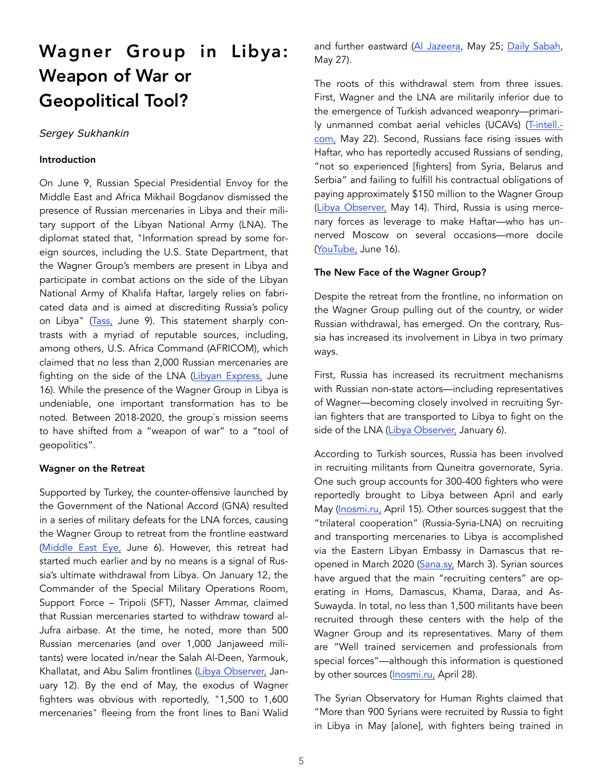# Wagner Group in Libya: Weapon of War or Geopolitical Tool?

## *Sergey Sukhankin*

## Introduction

On June 9, Russian Special Presidential Envoy for the Middle East and Africa Mikhail Bogdanov dismissed the presence of Russian mercenaries in Libya and their military support of the Libyan National Army (LNA). The diplomat stated that, "Information spread by some foreign sources, including the U.S. State Department, that the Wagner Group's members are present in Libya and participate in combat actions on the side of the Libyan National Army of Khalifa Haftar, largely relies on fabricated data and is aimed at discrediting Russia's policy on Libya" [\(Tass,](https://tass.com/politics/1165741) June 9). This statement sharply contrasts with a myriad of reputable sources, including, among others, U.S. Africa Command (AFRICOM), which claimed that no less than 2,000 Russian mercenaries are fighting on the side of the LNA [\(Libyan Express,](https://www.libyanexpress.com/us-africom-2000-russian-wagner-group-mercenaries-are-fighting-for-) June 16). While the presence of the Wagner Group in Libya is undeniable, one important transformation has to be noted. Between 2018-2020, the group`s mission seems to have shifted from a "weapon of war" to a "tool of geopolitics".

#### Wagner on the Retreat

Supported by Turkey, the counter-offensive launched by the Government of the National Accord (GNA) resulted in a series of military defeats for the LNA forces, causing the Wagner Group to retreat from the frontline eastward ([Middle East Eye,](https://www.middleeasteye.net/news/libyas-gna-says-offensive-launched-gaddafis-hometown-sirte) June 6). However, this retreat had started much earlier and by no means is a signal of Russia's ultimate withdrawal from Libya. On January 12, the Commander of the Special Military Operations Room, Support Force – Tripoli (SFT), Nasser Ammar, claimed that Russian mercenaries started to withdraw toward al-Jufra airbase. At the time, he noted, more than 500 Russian mercenaries (and over 1,000 Janjaweed militants) were located in/near the Salah Al-Deen, Yarmouk, Khallatat, and Abu Salim frontlines ([Libya Observer,](https://www.libyaobserver.ly/news/army-official-russ) January 12). By the end of May, the exodus of Wagner fighters was obvious with reportedly, "1,500 to 1,600 mercenaries" fleeing from the front lines to Bani Walid

and further eastward [\(Al Jazeera,](https://www.aljazeera.com/news/2020/05/russian-fighters-flown-western-libya-haftar-retreat-200524200905871.html) May 25; [Daily Sabah](https://www.dailysabah.com/politics/majority-of-russian-mercenaries-left-l), May 27).

The roots of this withdrawal stem from three issues. First, Wagner and the LNA are militarily inferior due to the emergence of Turkish advanced weaponry—primari-ly unmanned combat aerial vehicles (UCAVs) [\(T-intell.](https://t-intell.com/2020/05/22/lethal-stalkers-how-turkish-drones-are-neutralizing-haftars-pantsirs-in-libya-bda/) [com,](https://t-intell.com/2020/05/22/lethal-stalkers-how-turkish-drones-are-neutralizing-haftars-pantsirs-in-libya-bda/) May 22). Second, Russians face rising issues with Haftar, who has reportedly accused Russians of sending, "not so experienced [fighters] from Syria, Belarus and Serbia" and failing to fulfill his contractual obligations of paying approximately \$150 million to the Wagner Group ([Libya Observer,](https://www.libyaobserver.ly/news/report-haftar-owes-russian-wagner-group-1) May 14). Third, Russia is using mercenary forces as leverage to make Haftar—who has unnerved Moscow on several occasions—more docile ([YouTube,](https://www.youtube.com/watch?v=C2Ljr8bbwuU&t=4) June 16).

#### The New Face of the Wagner Group?

Despite the retreat from the frontline, no information on the Wagner Group pulling out of the country, or wider Russian withdrawal, has emerged. On the contrary, Russia has increased its involvement in Libya in two primary ways.

First, Russia has increased its recruitment mechanisms with Russian non-state actors—including representatives of Wagner—becoming closely involved in recruiting Syrian fighters that are transported to Libya to fight on the side of the LNA [\(Libya Observer,](https://www.libyaobserver.ly/news/two-russian-firms-join-wagner-group-supplying-haftar-mercenaries) January 6).

According to Turkish sources, Russia has been involved in recruiting militants from Quneitra governorate, Syria. One such group accounts for 300-400 fighters who were reportedly brought to Libya between April and early May ([Inosmi.ru,](https://inosmi.ru/politic/20200415/247268507.html) April 15). Other sources suggest that the "trilateral cooperation" (Russia-Syria-LNA) on recruiting and transporting mercenaries to Libya is accomplished via the Eastern Libyan Embassy in Damascus that reopened in March 2020 [\(Sana.sy,](https://sana.sy/en/?p=187227) March 3). Syrian sources have argued that the main "recruiting centers" are operating in Homs, Damascus, Khama, Daraa, and As-Suwayda. In total, no less than 1,500 militants have been recruited through these centers with the help of the Wagner Group and its representatives. Many of them are "Well trained servicemen and professionals from special forces"—although this information is questioned by other sources [\(Inosmi.ru,](https://inosmi.ru/politic/20200428/247341229.html) April 28).

The Syrian Observatory for Human Rights claimed that "More than 900 Syrians were recruited by Russia to fight in Libya in May [alone], with fighters being trained in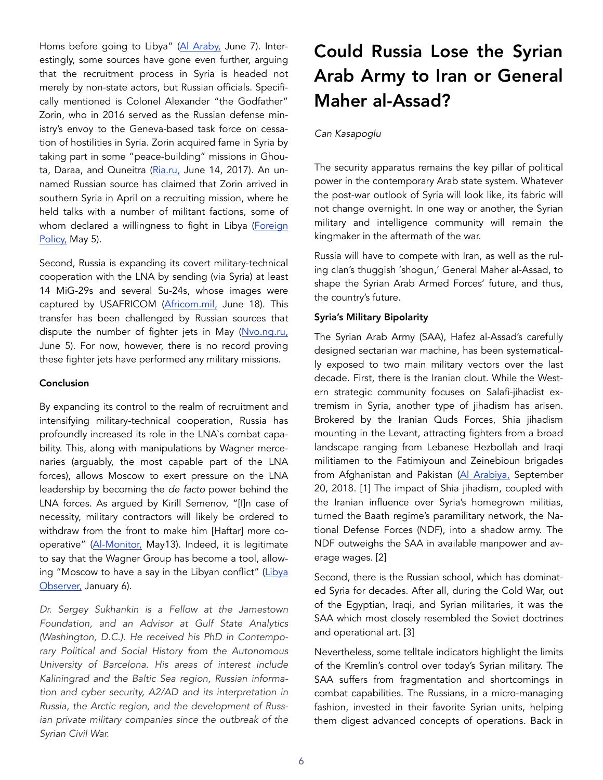Homs before going to Libya" ([Al Araby,](https://english.alaraby.co.uk/english/news/2020/6/7/russia-hired-syrians-to-fight-in-libya-sources-say) June 7). Interestingly, some sources have gone even further, arguing that the recruitment process in Syria is headed not merely by non-state actors, but Russian officials. Specifically mentioned is Colonel Alexander "the Godfather" Zorin, who in 2016 served as the Russian defense ministry's envoy to the Geneva-based task force on cessation of hostilities in Syria. Zorin acquired fame in Syria by taking part in some "peace-building" missions in Ghou-ta, Daraa, and Quneitra ([Ria.ru,](https://ria.ru/20170614/1496477123.html) June 14, 2017). An unnamed Russian source has claimed that Zorin arrived in southern Syria in April on a recruiting mission, where he held talks with a number of militant factions, some of whom declared a willingness to fight in Libya (Foreign [Policy,](https://foreignpolicy.com/2020/05/05/libya-civil-conflict-syrian-mercenaries-turkey-russia-gna-haftar/) May 5).

Second, Russia is expanding its covert military-technical cooperation with the LNA by sending (via Syria) at least 14 MiG-29s and several Su-24s, whose images were captured by USAFRICOM (Africom.mil, June 18). This transfer has been challenged by Russian sources that dispute the number of fighter jets in May [\(Nvo.ng.ru,](https://nvo.ng.ru/nvo/2020-06-05/1_1095_mig29.html) June 5). For now, however, there is no record proving these fighter jets have performed any military missions.

## Conclusion

By expanding its control to the realm of recruitment and intensifying military-technical cooperation, Russia has profoundly increased its role in the LNA`s combat capability. This, along with manipulations by Wagner mercenaries (arguably, the most capable part of the LNA forces), allows Moscow to exert pressure on the LNA leadership by becoming the *de facto* power behind the LNA forces. As argued by Kirill Semenov, "[I]n case of necessity, military contractors will likely be ordered to withdraw from the front to make him [Haftar] more cooperative" [\(Al-Monitor,](https://www.al-monitor.com/pulse/originals/2020/05/russia-pull-support-hifter-libya-gna-army-aguila-saleh-issa.html) May13). Indeed, it is legitimate to say that the Wagner Group has become a tool, allowing "Moscow to have a say in the Libyan conflict" (Libya [Observer,](https://www.libyaobserver.ly/news/two-russian-firms-join-wagner-group-supplying-haftar-mercenaries) January 6).

*Dr. Sergey Sukhankin is a Fellow at the Jamestown Foundation, and an Advisor at Gulf State Analytics (Washington, D.C.). He received his PhD in Contemporary Political and Social History from the Autonomous University of Barcelona. His areas of interest include Kaliningrad and the Baltic Sea region, Russian information and cyber security, A2/AD and its interpretation in Russia, the Arctic region, and the development of Russian private military companies since the outbreak of the Syrian Civil War.* 

# Could Russia Lose the Syrian Arab Army to Iran or General Maher al-Assad?

# *Can Kasapoglu*

The security apparatus remains the key pillar of political power in the contemporary Arab state system. Whatever the post-war outlook of Syria will look like, its fabric will not change overnight. In one way or another, the Syrian military and intelligence community will remain the kingmaker in the aftermath of the war.

Russia will have to compete with Iran, as well as the ruling clan's thuggish 'shogun,' General Maher al-Assad, to shape the Syrian Arab Armed Forces' future, and thus, the country's future.

# Syria's Military Bipolarity

The Syrian Arab Army (SAA), Hafez al-Assad's carefully designed sectarian war machine, has been systematically exposed to two main military vectors over the last decade. First, there is the Iranian clout. While the Western strategic community focuses on Salafi-jihadist extremism in Syria, another type of jihadism has arisen. Brokered by the Iranian Quds Forces, Shia jihadism mounting in the Levant, attracting fighters from a broad landscape ranging from Lebanese Hezbollah and Iraqi militiamen to the Fatimiyoun and Zeinebioun brigades from Afghanistan and Pakistan [\(Al Arabiya,](https://english.alarabiya.net/en/views/news/middle-east/2018/09/20/For-Greater-Iran-Afghan-Pakistani-fighters-give-their-lives-in-Syria) September 20, 2018. [1] The impact of Shia jihadism, coupled with the Iranian influence over Syria's homegrown militias, turned the Baath regime's paramilitary network, the National Defense Forces (NDF), into a shadow army. The NDF outweighs the SAA in available manpower and average wages. [2]

Second, there is the Russian school, which has dominated Syria for decades. After all, during the Cold War, out of the Egyptian, Iraqi, and Syrian militaries, it was the SAA which most closely resembled the Soviet doctrines and operational art. [3]

Nevertheless, some telltale indicators highlight the limits of the Kremlin's control over today's Syrian military. The SAA suffers from fragmentation and shortcomings in combat capabilities. The Russians, in a micro-managing fashion, invested in their favorite Syrian units, helping them digest advanced concepts of operations. Back in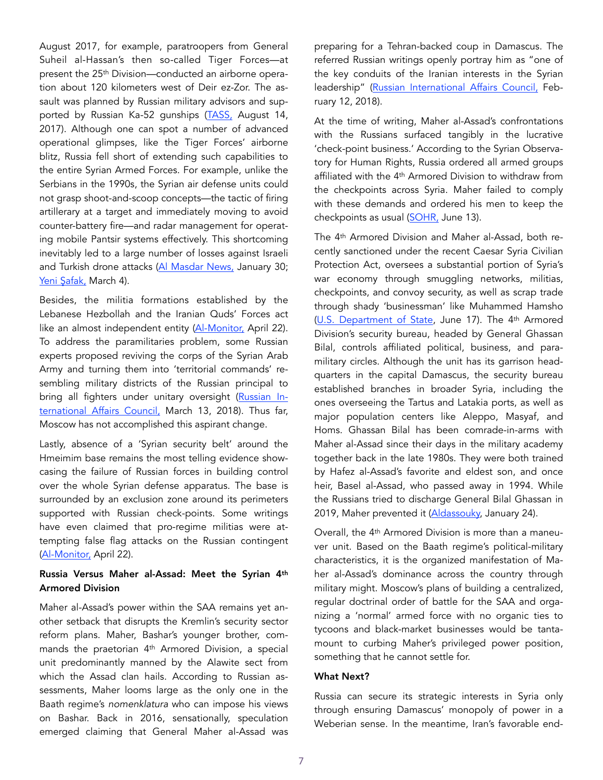August 2017, for example, paratroopers from General Suheil al-Hassan's then so-called Tiger Forces—at present the 25th Division—conducted an airborne operation about 120 kilometers west of Deir ez-Zor. The assault was planned by Russian military advisors and supported by Russian Ka-52 gunships [\(TASS,](https://tass.com/defense/960294) August 14, 2017). Although one can spot a number of advanced operational glimpses, like the Tiger Forces' airborne blitz, Russia fell short of extending such capabilities to the entire Syrian Armed Forces. For example, unlike the Serbians in the 1990s, the Syrian air defense units could not grasp shoot-and-scoop concepts—the tactic of firing artillerary at a target and immediately moving to avoid counter-battery fire—and radar management for operating mobile Pantsir systems effectively. This shortcoming inevitably led to a large number of losses against Israeli and Turkish drone attacks (Al Masdar News, January 30; Yeni Ş[afak,](https://www.yenisafak.com/dunya/tsk-bir-pantsir-daha-vurdu-sihalar-rus-yapimi-hava-savunma-sistemini-dagi) March 4).

Besides, the militia formations established by the Lebanese Hezbollah and the Iranian Quds' Forces act like an almost independent entity [\(Al-Monitor,](https://www.al-monitor.com/pulse/originals/2020/04/russia-syria-militias-iran.html%22%20%5Cl%20%22ixzz6PIP5IW6X) April 22). To address the paramilitaries problem, some Russian experts proposed reviving the corps of the Syrian Arab Army and turning them into 'territorial commands' resembling military districts of the Russian principal to bring all fighters under unitary oversight [\(Russian In](https://russiancouncil.ru/en/analytics-and-comments/analytics/assad-s-ar)[ternational Affairs Council,](https://russiancouncil.ru/en/analytics-and-comments/analytics/assad-s-ar) March 13, 2018). Thus far, Moscow has not accomplished this aspirant change.

Lastly, absence of a 'Syrian security belt' around the Hmeimim base remains the most telling evidence showcasing the failure of Russian forces in building control over the whole Syrian defense apparatus. The base is surrounded by an exclusion zone around its perimeters supported with Russian check-points. Some writings have even claimed that pro-regime militias were attempting false flag attacks on the Russian contingent ([Al-Monitor,](https://www.al-monitor.com/pulse/originals/2020/04/russia-syria-militias-iran.html%22%20%5Cl%20%22ixzz6PIP5IW6X) April 22).

## Russia Versus Maher al-Assad: Meet the Syrian 4th Armored Division

Maher al-Assad's power within the SAA remains yet another setback that disrupts the Kremlin's security sector reform plans. Maher, Bashar's younger brother, commands the praetorian 4th Armored Division, a special unit predominantly manned by the Alawite sect from which the Assad clan hails. According to Russian assessments, Maher looms large as the only one in the Baath regime's *nomenklatura* who can impose his views on Bashar. Back in 2016, sensationally, speculation emerged claiming that General Maher al-Assad was

preparing for a Tehran-backed coup in Damascus. The referred Russian writings openly portray him as "one of the key conduits of the Iranian interests in the Syrian leadership" [\(Russian International Affairs Council,](https://russiancouncil.ru/en/analytics-and-comments/analytics/who-controls-syria-the-al-assad-family-the-inner-circle-and-the-tycoons/) February 12, 2018).

At the time of writing, Maher al-Assad's confrontations with the Russians surfaced tangibly in the lucrative 'check-point business.' According to the Syrian Observatory for Human Rights, Russia ordered all armed groups affiliated with the 4th Armored Division to withdraw from the checkpoints across Syria. Maher failed to comply with these demands and ordered his men to keep the checkpoints as usual ([SOHR,](https://www.syriahr.com/en/?p=169648) June 13).

The 4th Armored Division and Maher al-Assad, both recently sanctioned under the recent Caesar Syria Civilian Protection Act, oversees a substantial portion of Syria's war economy through smuggling networks, militias, checkpoints, and convoy security, as well as scrap trade through shady 'businessman' like Muhammed Hamsho (U.S. Department of State, June 17). The 4<sup>th</sup> Armored Division's security bureau, headed by General Ghassan Bilal, controls affiliated political, business, and paramilitary circles. Although the unit has its garrison headquarters in the capital Damascus, the security bureau established branches in broader Syria, including the ones overseeing the Tartus and Latakia ports, as well as major population centers like Aleppo, Masyaf, and Homs. Ghassan Bilal has been comrade-in-arms with Maher al-Assad since their days in the military academy together back in the late 1980s. They were both trained by Hafez al-Assad's favorite and eldest son, and once heir, Basel al-Assad, who passed away in 1994. While the Russians tried to discharge General Bilal Ghassan in 2019, Maher prevented it [\(Aldassouky,](https://cadmus) January 24).

Overall, the 4th Armored Division is more than a maneuver unit. Based on the Baath regime's political-military characteristics, it is the organized manifestation of Maher al-Assad's dominance across the country through military might. Moscow's plans of building a centralized, regular doctrinal order of battle for the SAA and organizing a 'normal' armed force with no organic ties to tycoons and black-market businesses would be tantamount to curbing Maher's privileged power position, something that he cannot settle for.

## What Next?

Russia can secure its strategic interests in Syria only through ensuring Damascus' monopoly of power in a Weberian sense. In the meantime, Iran's favorable end-